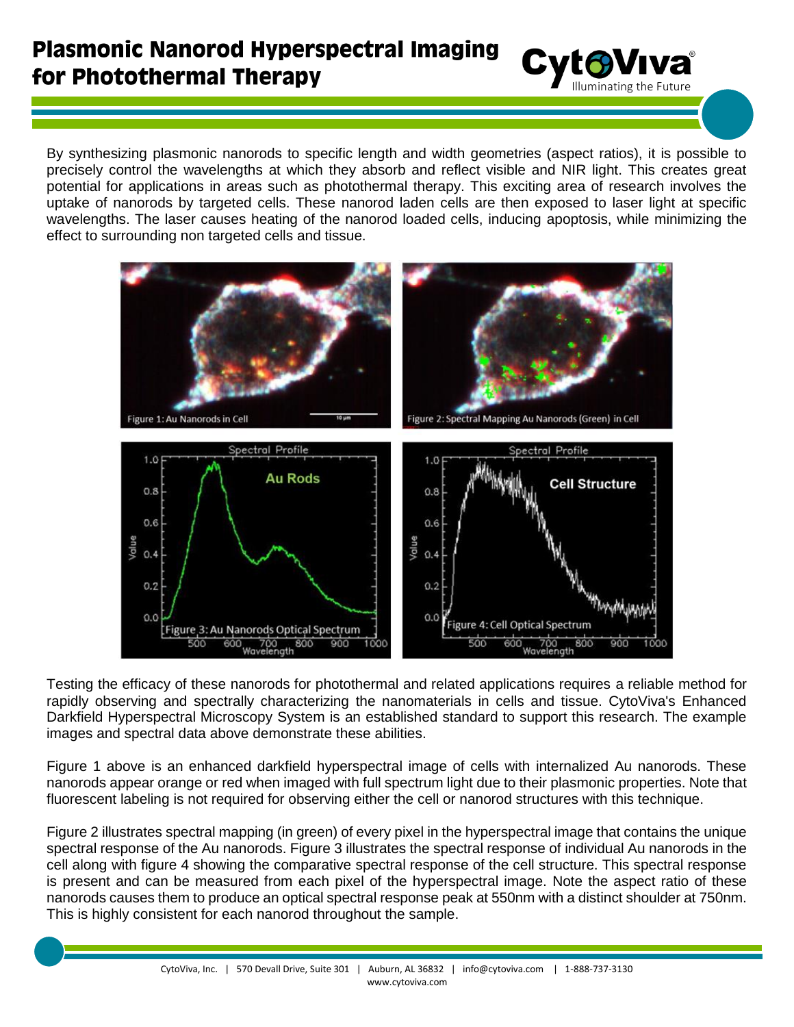## **Plasmonic Nanorod Hyperspectral Imaging** for Photothermal Therapy

By synthesizing plasmonic nanorods to specific length and width geometries (aspect ratios), it is possible to precisely control the wavelengths at which they absorb and reflect visible and NIR light. This creates great potential for applications in areas such as photothermal therapy. This exciting area of research involves the uptake of nanorods by targeted cells. These nanorod laden cells are then exposed to laser light at specific wavelengths. The laser causes heating of the nanorod loaded cells, inducing apoptosis, while minimizing the effect to surrounding non targeted cells and tissue.

Cyto Viva<sup>®</sup>



Testing the efficacy of these nanorods for photothermal and related applications requires a reliable method for rapidly observing and spectrally characterizing the nanomaterials in cells and tissue. CytoViva's Enhanced Darkfield Hyperspectral Microscopy System is an established standard to support this research. The example images and spectral data above demonstrate these abilities.

Figure 1 above is an enhanced darkfield hyperspectral image of cells with internalized Au nanorods. These nanorods appear orange or red when imaged with full spectrum light due to their plasmonic properties. Note that fluorescent labeling is not required for observing either the cell or nanorod structures with this technique.

Figure 2 illustrates spectral mapping (in green) of every pixel in the hyperspectral image that contains the unique spectral response of the Au nanorods. Figure 3 illustrates the spectral response of individual Au nanorods in the cell along with figure 4 showing the comparative spectral response of the cell structure. This spectral response is present and can be measured from each pixel of the hyperspectral image. Note the aspect ratio of these nanorods causes them to produce an optical spectral response peak at 550nm with a distinct shoulder at 750nm. This is highly consistent for each nanorod throughout the sample.